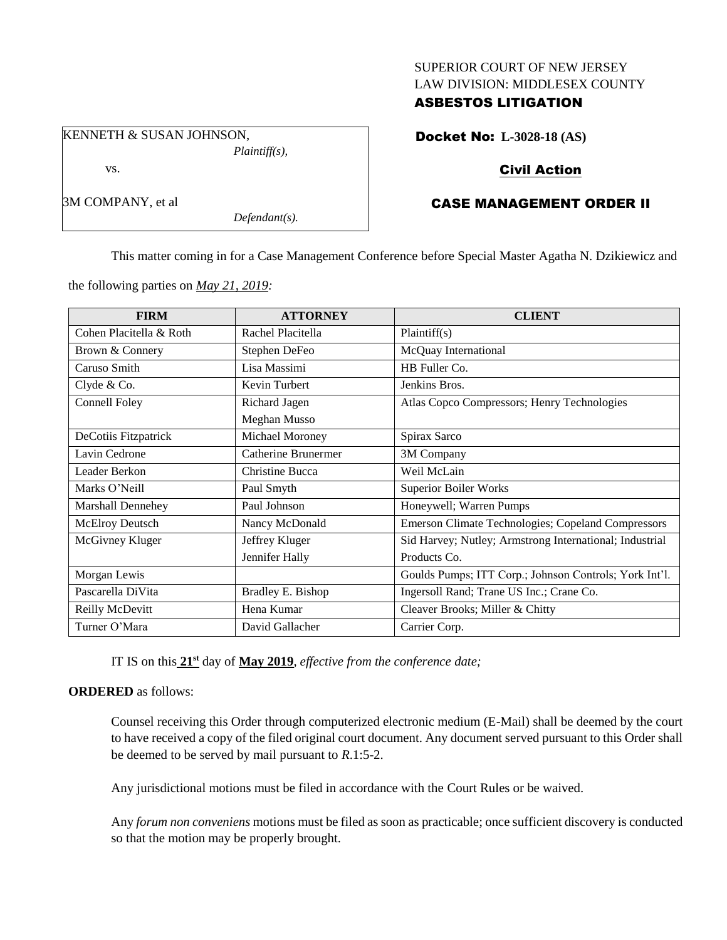### SUPERIOR COURT OF NEW JERSEY LAW DIVISION: MIDDLESEX COUNTY

# ASBESTOS LITIGATION

KENNETH & SUSAN JOHNSON, *Plaintiff(s),*

vs.

3M COMPANY, et al

*Defendant(s).*

Docket No: **L-3028-18 (AS)**

# Civil Action

# CASE MANAGEMENT ORDER II

This matter coming in for a Case Management Conference before Special Master Agatha N. Dzikiewicz and

the following parties on *May 21, 2019:*

| <b>FIRM</b>             | <b>ATTORNEY</b>            | <b>CLIENT</b>                                             |
|-------------------------|----------------------------|-----------------------------------------------------------|
| Cohen Placitella & Roth | Rachel Placitella          | Plaintiff(s)                                              |
| Brown & Connery         | Stephen DeFeo              | McQuay International                                      |
| Caruso Smith            | Lisa Massimi               | HB Fuller Co.                                             |
| Clyde & Co.             | Kevin Turbert              | Jenkins Bros.                                             |
| Connell Foley           | Richard Jagen              | Atlas Copco Compressors; Henry Technologies               |
|                         | Meghan Musso               |                                                           |
| DeCotiis Fitzpatrick    | Michael Moroney            | Spirax Sarco                                              |
| Lavin Cedrone           | <b>Catherine Brunermer</b> | 3M Company                                                |
| Leader Berkon           | Christine Bucca            | Weil McLain                                               |
| Marks O'Neill           | Paul Smyth                 | <b>Superior Boiler Works</b>                              |
| Marshall Dennehey       | Paul Johnson               | Honeywell; Warren Pumps                                   |
| <b>McElroy Deutsch</b>  | Nancy McDonald             | <b>Emerson Climate Technologies; Copeland Compressors</b> |
| McGivney Kluger         | Jeffrey Kluger             | Sid Harvey; Nutley; Armstrong International; Industrial   |
|                         | Jennifer Hally             | Products Co.                                              |
| Morgan Lewis            |                            | Goulds Pumps; ITT Corp.; Johnson Controls; York Int'l.    |
| Pascarella DiVita       | Bradley E. Bishop          | Ingersoll Rand; Trane US Inc.; Crane Co.                  |
| Reilly McDevitt         | Hena Kumar                 | Cleaver Brooks; Miller & Chitty                           |
| Turner O'Mara           | David Gallacher            | Carrier Corp.                                             |

IT IS on this  $21<sup>st</sup>$  day of May 2019, *effective from the conference date*;

# **ORDERED** as follows:

Counsel receiving this Order through computerized electronic medium (E-Mail) shall be deemed by the court to have received a copy of the filed original court document. Any document served pursuant to this Order shall be deemed to be served by mail pursuant to *R*.1:5-2.

Any jurisdictional motions must be filed in accordance with the Court Rules or be waived.

Any *forum non conveniens* motions must be filed as soon as practicable; once sufficient discovery is conducted so that the motion may be properly brought.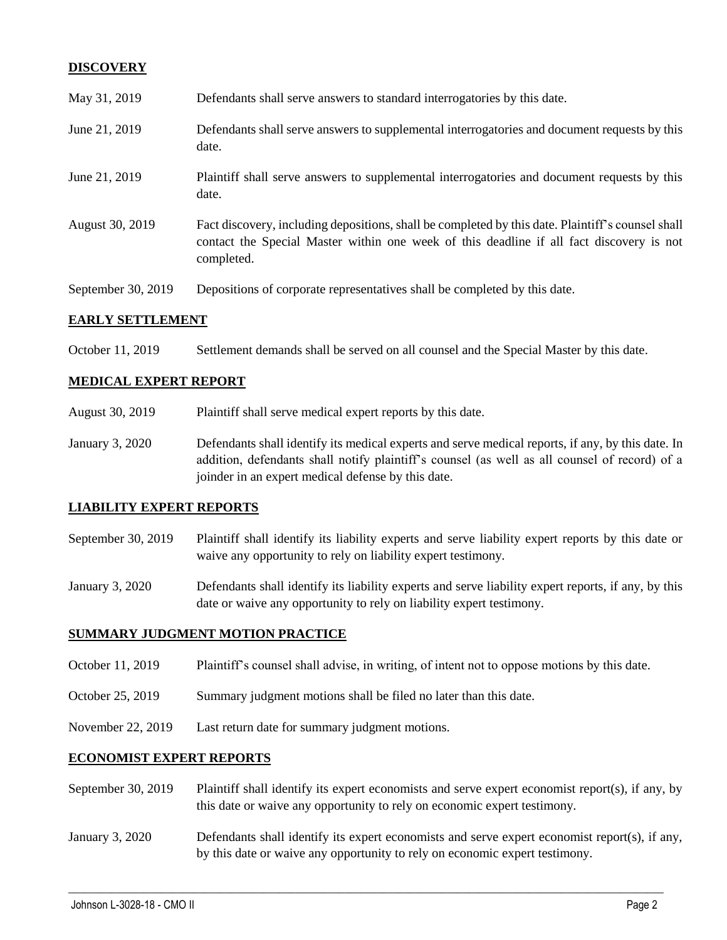# **DISCOVERY**

| May 31, 2019       | Defendants shall serve answers to standard interrogatories by this date.                                                                                                                                    |
|--------------------|-------------------------------------------------------------------------------------------------------------------------------------------------------------------------------------------------------------|
| June 21, 2019      | Defendants shall serve answers to supplemental interrogatories and document requests by this<br>date.                                                                                                       |
| June 21, 2019      | Plaintiff shall serve answers to supplemental interrogatories and document requests by this<br>date.                                                                                                        |
| August 30, 2019    | Fact discovery, including depositions, shall be completed by this date. Plaintiff's counsel shall<br>contact the Special Master within one week of this deadline if all fact discovery is not<br>completed. |
| September 30, 2019 | Depositions of corporate representatives shall be completed by this date.                                                                                                                                   |

#### **EARLY SETTLEMENT**

October 11, 2019 Settlement demands shall be served on all counsel and the Special Master by this date.

## **MEDICAL EXPERT REPORT**

August 30, 2019 Plaintiff shall serve medical expert reports by this date.

January 3, 2020 Defendants shall identify its medical experts and serve medical reports, if any, by this date. In addition, defendants shall notify plaintiff's counsel (as well as all counsel of record) of a joinder in an expert medical defense by this date.

#### **LIABILITY EXPERT REPORTS**

- September 30, 2019 Plaintiff shall identify its liability experts and serve liability expert reports by this date or waive any opportunity to rely on liability expert testimony.
- January 3, 2020 Defendants shall identify its liability experts and serve liability expert reports, if any, by this date or waive any opportunity to rely on liability expert testimony.

### **SUMMARY JUDGMENT MOTION PRACTICE**

- October 11, 2019 Plaintiff's counsel shall advise, in writing, of intent not to oppose motions by this date.
- October 25, 2019 Summary judgment motions shall be filed no later than this date.
- November 22, 2019 Last return date for summary judgment motions.

#### **ECONOMIST EXPERT REPORTS**

- September 30, 2019 Plaintiff shall identify its expert economists and serve expert economist report(s), if any, by this date or waive any opportunity to rely on economic expert testimony.
- January 3, 2020 Defendants shall identify its expert economists and serve expert economist report(s), if any, by this date or waive any opportunity to rely on economic expert testimony.

 $\_$  , and the set of the set of the set of the set of the set of the set of the set of the set of the set of the set of the set of the set of the set of the set of the set of the set of the set of the set of the set of th